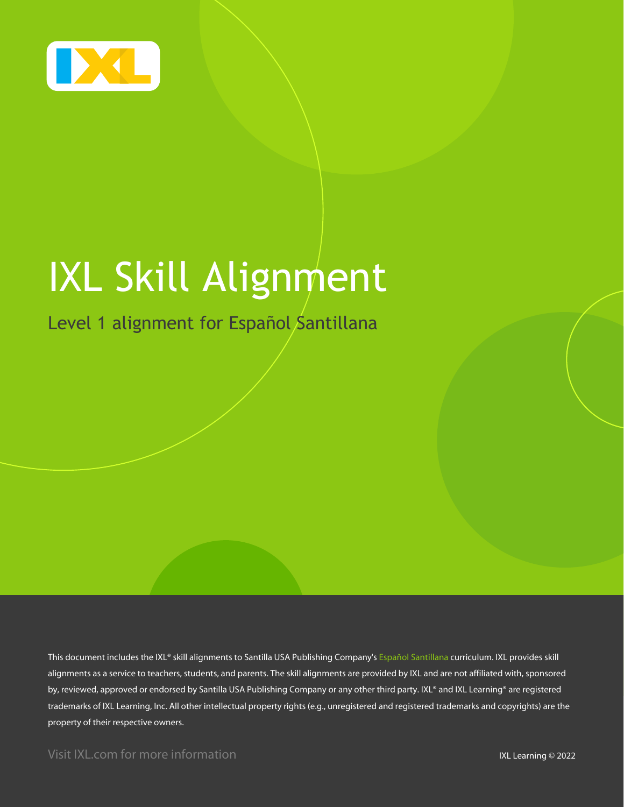

# IXL Skill Alignment

Level 1 alignment for Español Santillana

This document includes the IXL® skill alignments to Santilla USA Publishing Company's Español Santillana curriculum. IXL provides skill alignments as a service to teachers, students, and parents. The skill alignments are provided by IXL and are not affiliated with, sponsored by, reviewed, approved or endorsed by Santilla USA Publishing Company or any other third party. IXL® and IXL Learning® are registered trademarks of IXL Learning, Inc. All other intellectual property rights (e.g., unregistered and registered trademarks and copyrights) are the property of their respective owners.

Visit IXL.com for more information **IXL Learning © 2022**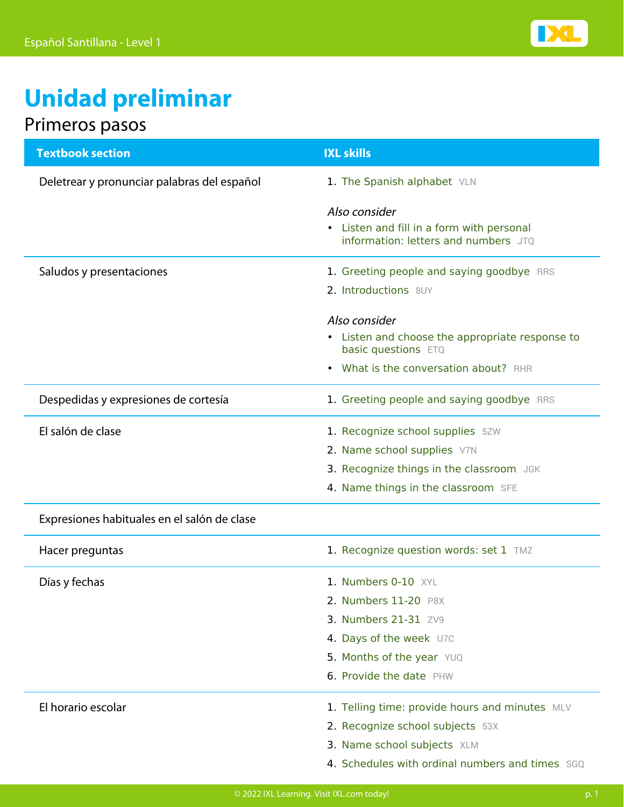

# **Unidad preliminar**

### Primeros pasos

| <b>Textbook section</b>                     | <b>IXL skills</b>                                                      |
|---------------------------------------------|------------------------------------------------------------------------|
| Deletrear y pronunciar palabras del español | 1. The Spanish alphabet VLN                                            |
|                                             | Also consider                                                          |
|                                             | • Listen and fill in a form with personal                              |
|                                             | information: letters and numbers JTQ                                   |
| Saludos y presentaciones                    | 1. Greeting people and saying goodbye RRS                              |
|                                             | 2. Introductions 8UY                                                   |
|                                             | Also consider                                                          |
|                                             | • Listen and choose the appropriate response to<br>basic questions ETQ |
|                                             | What is the conversation about? RHR                                    |
| Despedidas y expresiones de cortesía        | 1. Greeting people and saying goodbye RRS                              |
| El salón de clase                           | 1. Recognize school supplies 5ZW                                       |
|                                             | 2. Name school supplies V7N                                            |
|                                             | 3. Recognize things in the classroom JGK                               |
|                                             | 4. Name things in the classroom SFE                                    |
| Expresiones habituales en el salón de clase |                                                                        |
| Hacer preguntas                             | 1. Recognize question words: set 1 TMZ                                 |
| Días y fechas                               | 1. Numbers 0-10 XYL                                                    |
|                                             | 2. Numbers 11-20 P8X                                                   |
|                                             | 3. Numbers 21-31 ZV9                                                   |
|                                             | 4. Days of the week U7C                                                |
|                                             | 5. Months of the year YUQ                                              |
|                                             | 6. Provide the date PHW                                                |
| El horario escolar                          | 1. Telling time: provide hours and minutes MLV                         |
|                                             | 2. Recognize school subjects 53X                                       |
|                                             | 3. Name school subjects XLM                                            |
|                                             | 4. Schedules with ordinal numbers and times SGQ                        |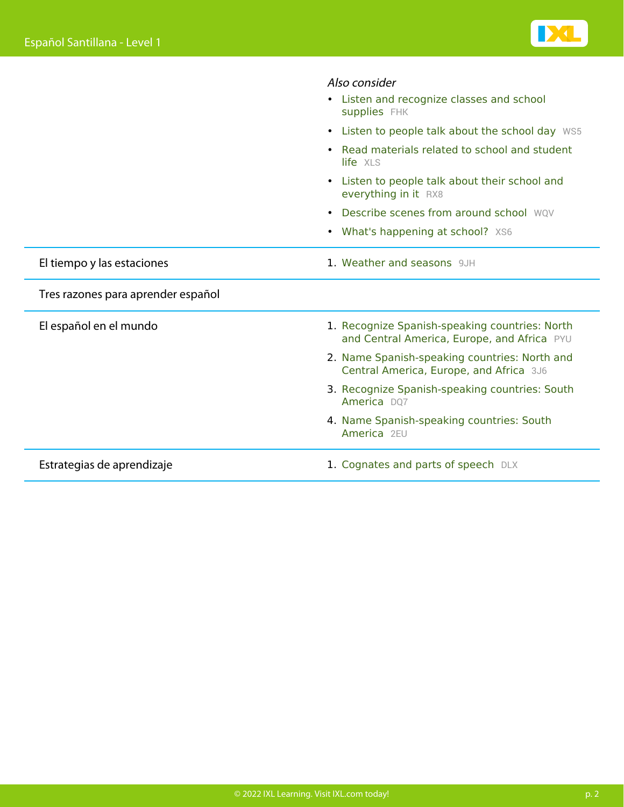|                                    | Also consider<br>Listen and recognize classes and school<br>supplies FHK                      |
|------------------------------------|-----------------------------------------------------------------------------------------------|
|                                    | • Listen to people talk about the school day WS5                                              |
|                                    | Read materials related to school and student<br>life XLS                                      |
|                                    | Listen to people talk about their school and<br>everything in it RX8                          |
|                                    | Describe scenes from around school WOV<br>$\bullet$                                           |
|                                    | <b>What's happening at school?</b> XS6<br>$\bullet$                                           |
| El tiempo y las estaciones         | 1. Weather and seasons 9JH                                                                    |
| Tres razones para aprender español |                                                                                               |
| El español en el mundo             | 1. Recognize Spanish-speaking countries: North<br>and Central America, Europe, and Africa PYU |
|                                    | 2. Name Spanish-speaking countries: North and<br>Central America, Europe, and Africa 3J6      |
|                                    | 3. Recognize Spanish-speaking countries: South<br>America D07                                 |
|                                    | 4. Name Spanish-speaking countries: South<br>America 2EU                                      |
| Estrategias de aprendizaje         | 1. Cognates and parts of speech DLX                                                           |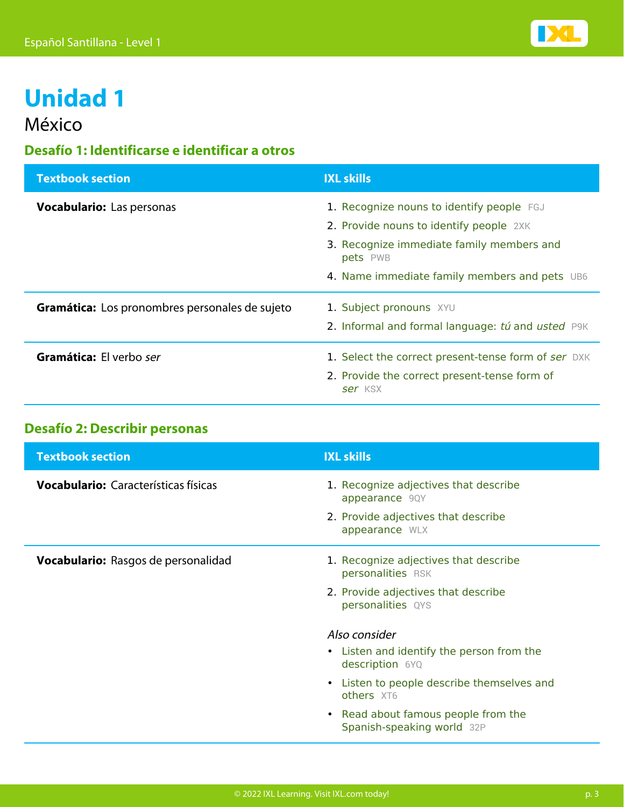

## **Unidad 1**

### México

### **Desafío 1: Identificarse e identificar a otros**

| <b>Textbook section</b>                        | <b>IXL skills</b>                                       |
|------------------------------------------------|---------------------------------------------------------|
| <b>Vocabulario:</b> Las personas               | 1. Recognize nouns to identify people FGJ               |
|                                                | 2. Provide nouns to identify people 2XK                 |
|                                                | 3. Recognize immediate family members and<br>pets PWB   |
|                                                | 4. Name immediate family members and pets UB6           |
| Gramática: Los pronombres personales de sujeto | 1. Subject pronouns XYU                                 |
|                                                | 2. Informal and formal language: tú and usted P9K       |
| Gramática: El verbo ser                        | 1. Select the correct present-tense form of ser DXK     |
|                                                | 2. Provide the correct present-tense form of<br>ser KSX |

### **Desafío 2: Describir personas**

| <b>Textbook section</b>                     | <b>IXL skills</b>                                                                                                                                                                                              |
|---------------------------------------------|----------------------------------------------------------------------------------------------------------------------------------------------------------------------------------------------------------------|
| <b>Vocabulario:</b> Características físicas | 1. Recognize adjectives that describe<br>appearance 9QY<br>2. Provide adjectives that describe<br>appearance WLX                                                                                               |
| Vocabulario: Rasgos de personalidad         | 1. Recognize adjectives that describe<br>personalities RSK<br>2. Provide adjectives that describe<br>personalities QYS                                                                                         |
|                                             | Also consider<br>• Listen and identify the person from the<br>description 6YQ<br>• Listen to people describe themselves and<br>others XT6<br>• Read about famous people from the<br>Spanish-speaking world 32P |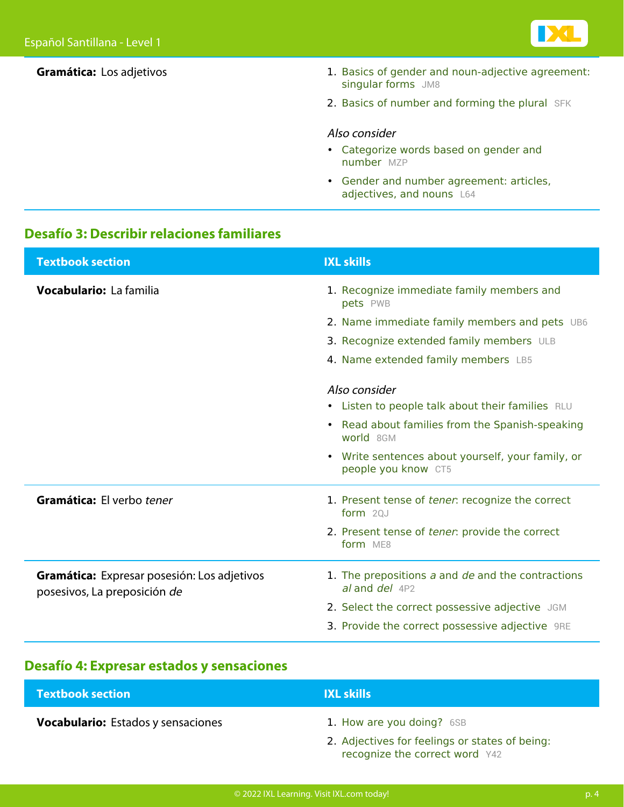

| Gramática: Los adjetivos | 1. Basics of gender and noun-adjective agreement:<br>singular forms JM8 |
|--------------------------|-------------------------------------------------------------------------|
|                          | 2. Basics of number and forming the plural SFK                          |
|                          | Also consider<br>• Categorize words based on gender and<br>number MZP   |
|                          | • Gender and number agreement: articles,<br>adjectives, and nouns L64   |

### **Desafío 3: Describir relaciones familiares**

| <b>Textbook section</b>                                                     | <b>IXL skills</b>                                                        |
|-----------------------------------------------------------------------------|--------------------------------------------------------------------------|
| Vocabulario: La familia                                                     | 1. Recognize immediate family members and<br>pets PWB                    |
|                                                                             | 2. Name immediate family members and pets UB6                            |
|                                                                             | 3. Recognize extended family members ULB                                 |
|                                                                             | 4. Name extended family members LB5                                      |
|                                                                             | Also consider<br>• Listen to people talk about their families RLU        |
|                                                                             | Read about families from the Spanish-speaking<br>world 8GM               |
|                                                                             | • Write sentences about yourself, your family, or<br>people you know CT5 |
| Gramática: El verbo tener                                                   | 1. Present tense of tener: recognize the correct<br>form 20J             |
|                                                                             | 2. Present tense of tener: provide the correct<br>form ME8               |
| Gramática: Expresar posesión: Los adjetivos<br>posesivos, La preposición de | 1. The prepositions a and de and the contractions<br>al and del 4P2      |
|                                                                             | 2. Select the correct possessive adjective JGM                           |
|                                                                             | 3. Provide the correct possessive adjective 9RE                          |

### **Desafío 4: Expresar estados y sensaciones**

| <b>Textbook section</b>                   | <b>IXL skills</b>                              |
|-------------------------------------------|------------------------------------------------|
| <b>Vocabulario:</b> Estados y sensaciones | 1. How are you doing? 6SB                      |
|                                           | 2. Adjectives for feelings or states of being: |

**[recognize the correct word](https://www.ixl.com/spanish/level-1/adjectives-for-feelings-or-states-of-being-recognize-the-correct-word)** [Y42](https://www.ixl.com/spanish/level-1/adjectives-for-feelings-or-states-of-being-recognize-the-correct-word)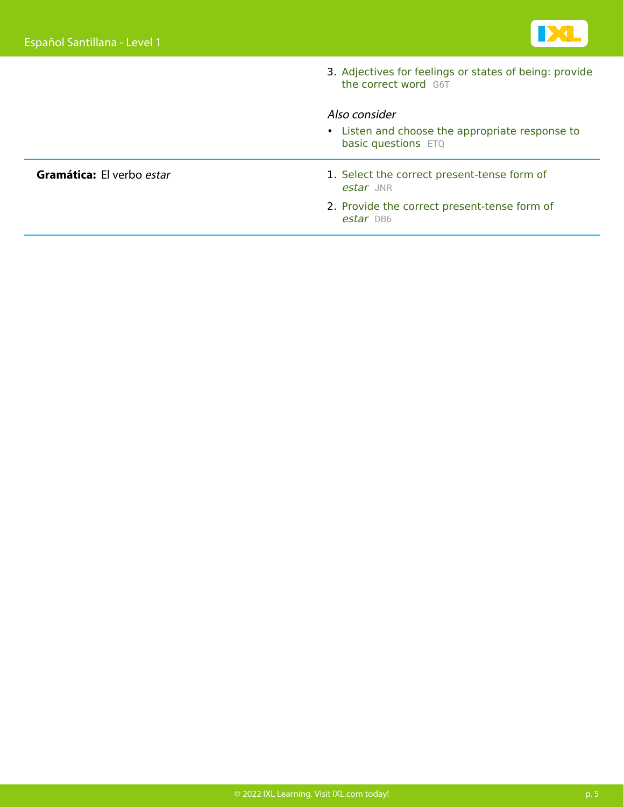

3. [Adjectives for feelings or states of being: provide](https://www.ixl.com/spanish/level-1/adjectives-for-feelings-or-states-of-being-provide-the-correct-word) [the correct word](https://www.ixl.com/spanish/level-1/adjectives-for-feelings-or-states-of-being-provide-the-correct-word) [G6T](https://www.ixl.com/spanish/level-1/adjectives-for-feelings-or-states-of-being-provide-the-correct-word)

#### Also consider

• [Listen and choose the appropriate response to](https://www.ixl.com/spanish/level-1/listen-and-choose-the-appropriate-response-to-basic-questions) [basic questions](https://www.ixl.com/spanish/level-1/listen-and-choose-the-appropriate-response-to-basic-questions) [ETQ](https://www.ixl.com/spanish/level-1/listen-and-choose-the-appropriate-response-to-basic-questions)

#### **Gramática:** El verbo estar 1. Select the correct present-tense form of [estar](https://www.ixl.com/spanish/level-1/select-the-correct-present-tense-form-of-estar) [JNR](https://www.ixl.com/spanish/level-1/select-the-correct-present-tense-form-of-estar)

2. Provide the correct present-tense form of [estar](https://www.ixl.com/spanish/level-1/provide-the-correct-present-tense-form-of-estar) [DB6](https://www.ixl.com/spanish/level-1/provide-the-correct-present-tense-form-of-estar)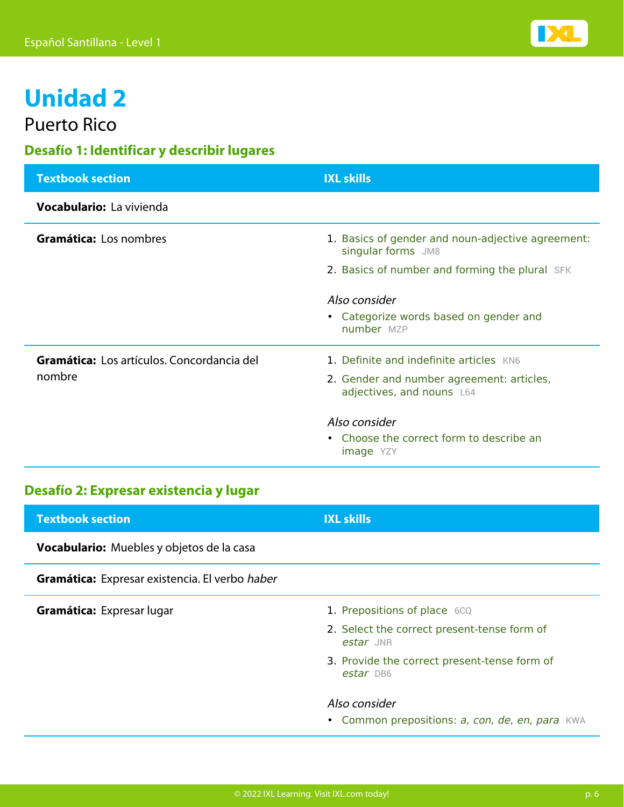

## **Unidad 2**

Puerto Rico

### **Desafío 1: Identificar y describir lugares**

| <b>Textbook section</b>                    | <b>IXL skills</b>                                                       |
|--------------------------------------------|-------------------------------------------------------------------------|
| Vocabulario: La vivienda                   |                                                                         |
| Gramática: Los nombres                     | 1. Basics of gender and noun-adjective agreement:<br>singular forms JM8 |
|                                            | 2. Basics of number and forming the plural SFK                          |
|                                            | Also consider                                                           |
|                                            | • Categorize words based on gender and<br>number MZP                    |
| Gramática: Los artículos. Concordancia del | 1. Definite and indefinite articles KN6                                 |
| nombre                                     | 2. Gender and number agreement: articles,<br>adjectives, and nouns L64  |
|                                            | Also consider                                                           |
|                                            | • Choose the correct form to describe an<br><b>image</b> YZY            |

### **Desafío 2: Expresar existencia y lugar**

| <b>Textbook section</b>                        | <b>IXL skills</b>                                                |
|------------------------------------------------|------------------------------------------------------------------|
| Vocabulario: Muebles y objetos de la casa      |                                                                  |
| Gramática: Expresar existencia. El verbo haber |                                                                  |
| <b>Gramática:</b> Expresar lugar               | 1. Prepositions of place 6CQ                                     |
|                                                | 2. Select the correct present-tense form of<br>estar JNR         |
|                                                | 3. Provide the correct present-tense form of<br>estar DB6        |
|                                                | Also consider<br>• Common prepositions: a, con, de, en, para KWA |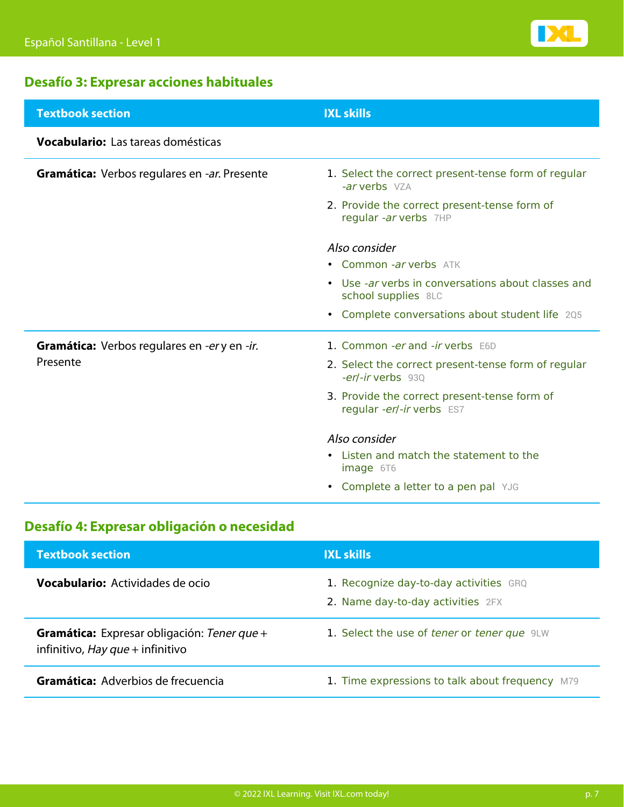

### **Desafío 3: Expresar acciones habituales**

| <b>Textbook section</b>                             | <b>IXL skills</b>                                                         |
|-----------------------------------------------------|---------------------------------------------------------------------------|
| Vocabulario: Las tareas domésticas                  |                                                                           |
| Gramática: Verbos regulares en -ar. Presente        | 1. Select the correct present-tense form of regular<br>-ar verbs VZA      |
|                                                     | 2. Provide the correct present-tense form of<br>regular -ar verbs 7HP     |
|                                                     | Also consider                                                             |
|                                                     | • Common -ar verbs ATK                                                    |
|                                                     | • Use -ar verbs in conversations about classes and<br>school supplies 8LC |
|                                                     | • Complete conversations about student life 205                           |
| <b>Gramática:</b> Verbos regulares en -er y en -ir. | 1. Common -er and -ir verbs E6D                                           |
| Presente                                            | 2. Select the correct present-tense form of regular<br>-er/-ir verbs 930  |
|                                                     | 3. Provide the correct present-tense form of<br>regular -er/-ir verbs ES7 |
|                                                     | Also consider                                                             |
|                                                     | Listen and match the statement to the<br>image 6T6                        |
|                                                     | • Complete a letter to a pen pal YJG                                      |

### **Desafío 4: Expresar obligación o necesidad**

| <b>Textbook section</b>                                                                | <b>IXL skills</b>                                                           |
|----------------------------------------------------------------------------------------|-----------------------------------------------------------------------------|
| <b>Vocabulario:</b> Actividades de ocio                                                | 1. Recognize day-to-day activities GRQ<br>2. Name day-to-day activities 2FX |
| <b>Gramática:</b> Expresar obligación: Tener que +<br>infinitivo, Hay que + infinitivo | 1. Select the use of tener or tener que 9LW                                 |
| Gramática: Adverbios de frecuencia                                                     | 1. Time expressions to talk about frequency M79                             |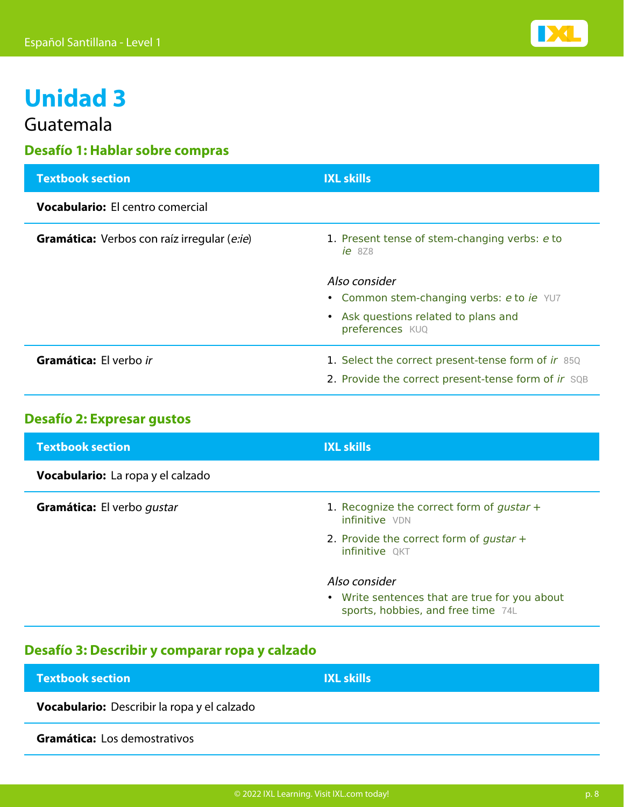

### **Unidad 3**

Guatemala

### **Desafío 1: Hablar sobre compras**

| <b>Textbook section</b>                            | <b>IXL skills</b>                                                                                                     |
|----------------------------------------------------|-----------------------------------------------------------------------------------------------------------------------|
| <b>Vocabulario:</b> El centro comercial            |                                                                                                                       |
| <b>Gramática:</b> Verbos con raíz irregular (e:ie) | 1. Present tense of stem-changing verbs: e to<br>$ie$ 8Z8                                                             |
|                                                    | Also consider<br>• Common stem-changing verbs: e to ie YU7<br>• Ask questions related to plans and<br>preferences KUQ |
| Gramática: El verbo ir                             | 1. Select the correct present-tense form of ir 85Q<br>2. Provide the correct present-tense form of ir SQB             |

### **Desafío 2: Expresar gustos**

| <b>Textbook section</b>                  | <b>IXL skills</b>                                                                   |
|------------------------------------------|-------------------------------------------------------------------------------------|
| <b>Vocabulario:</b> La ropa y el calzado |                                                                                     |
| Gramática: El verbo qustar               | 1. Recognize the correct form of gustar $+$<br>infinitive VDN                       |
|                                          | 2. Provide the correct form of gustar $+$<br>infinitive QKT                         |
|                                          | Also consider                                                                       |
|                                          | • Write sentences that are true for you about<br>sports, hobbies, and free time 74L |

#### **Desafío 3: Describir y comparar ropa y calzado**

| <b>Textbook section</b>                            | <b>IXL skills</b> |
|----------------------------------------------------|-------------------|
| <b>Vocabulario:</b> Describir la ropa y el calzado |                   |
| Gramática: Los demostrativos                       |                   |